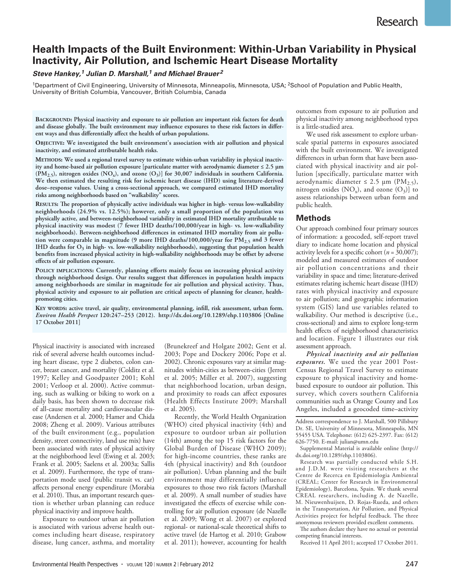# **Health Impacts of the Built Environment: Within-Urban Variability in Physical Inactivity, Air Pollution, and Ischemic Heart Disease Mortality**

# *Steve Hankey, 1 Julian D. Marshall, 1 and Michael Brauer <sup>2</sup>*

<sup>1</sup>Department of Civil Engineering, University of Minnesota, Minneapolis, Minnesota, USA; <sup>2</sup>School of Population and Public Health, University of British Columbia, Vancouver, British Columbia, Canada

**Background: Physical inactivity and exposure to air pollution are important risk factors for death and disease globally. The built environment may influence exposures to these risk factors in different ways and thus differentially affect the health of urban populations.**

**Objective: We investigated the built environment's association with air pollution and physical inactivity, and estimated attributable health risks.**

**Methods: We used a regional travel survey to estimate within-urban variability in physical inactivity and home-based air pollution exposure [particulate matter with aerodynamic diameter ≤ 2.5 μm**   $(PM<sub>2.5</sub>)$ , nitrogen oxides  $(NO<sub>x</sub>)$ , and ozone  $(O<sub>3</sub>)$ ] for 30,007 individuals in southern California. **We then estimated the resulting risk for ischemic heart disease (IHD) using literature-derived dose–response values. Using a cross-sectional approach, we compared estimated IHD mortality risks among neighborhoods based on "walkability" scores.**

**Results: The proportion of physically active individuals was higher in high- versus low-walkability neighborhoods (24.9% vs. 12.5%); however, only a small proportion of the population was physically active, and between-neighborhood variability in estimated IHD mortality attributable to physical inactivity was modest (7 fewer IHD deaths/100,000/year in high- vs. low-walkability neighborhoods). Between-neighborhood differences in estimated IHD mortality from air pollu**tion were comparable in magnitude (9 more IHD deaths/100,000/year for PM<sub>2.5</sub> and 3 fewer IHD deaths for O<sub>3</sub> in high- vs. low-walkability neighborhoods), suggesting that population health **benefits from increased physical activity in high-walkability neighborhoods may be offset by adverse effects of air pollution exposure.**

**Policy implications: Currently, planning efforts mainly focus on increasing physical activity through neighborhood design. Our results suggest that differences in population health impacts among neighborhoods are similar in magnitude for air pollution and physical activity. Thus, physical activity and exposure to air pollution are critical aspects of planning for cleaner, healthpromoting cities.**

**Key words: active travel, air quality, environmental planning, infill, risk assessment, urban form.** *Environ Health Perspect* **120:247–253 (2012). http://dx.doi.org/10.1289/ehp.1103806 [Online 17 October 2011]**

Physical inactivity is associated with increased risk of several adverse health outcomes including heart disease, type 2 diabetes, colon cancer, breast cancer, and mortality (Colditz et al. 1997; Kelley and Goodpaster 2001; Kohl 2001; Verloop et al. 2000). Active commuting, such as walking or biking to work on a daily basis, has been shown to decrease risk of all-cause mortality and cardiovascular disease (Andersen et al. 2000; Hamer and Chida 2008; Zheng et al. 2009). Various attributes of the built environment (e.g., population density, street connectivity, land use mix) have been associated with rates of physical activity at the neighborhood level (Ewing et al. 2003; Frank et al. 2005; Saelens et al. 2003a; Sallis et al. 2009). Furthermore, the type of transportation mode used (public transit vs. car) affects personal energy expenditure (Morabia et al. 2010). Thus, an important research question is whether urban planning can reduce physical inactivity and improve health.

Exposure to outdoor urban air pollution is associated with various adverse health outcomes including heart disease, respiratory disease, lung cancer, asthma, and mortality

(Brunekreef and Holgate 2002; Gent et al. 2003; Pope and Dockery 2006; Pope et al. 2002). Chronic exposures vary at similar magnitudes within-cities as between-cities (Jerrett et al. 2005; Miller et al. 2007), suggesting that neighborhood location, urban design, and proximity to roads can affect exposures (Health Effects Institute 2009; Marshall et al. 2005).

Recently, the World Health Organization (WHO) cited physical inactivity (4th) and exposure to outdoor urban air pollution (14th) among the top 15 risk factors for the Global Burden of Disease (WHO 2009); for high-income countries, these ranks are 4th (physical inactivity) and 8th (outdoor air pollution). Urban planning and the built environment may differentially influence exposures to those two risk factors (Marshall et al. 2009). A small number of studies have investigated the effects of exercise while controlling for air pollution exposure (de Nazelle et al. 2009; Wong et al. 2007) or explored regional- or national-scale theoretical shifts to active travel (de Hartog et al. 2010; Grabow et al. 2011); however, accounting for health outcomes from exposure to air pollution and physical inactivity among neighborhood types is a little-studied area.

We used risk assessment to explore urbanscale spatial patterns in exposures associated with the built environment. We investigated differences in urban form that have been associated with physical inactivity and air pollution [specifically, particulate matter with aerodynamic diameter ≤ 2.5 μm (PM<sub>2.5</sub>), nitrogen oxides  $(NO_x)$ , and ozone  $(O_3)$ ] to assess relationships between urban form and public health.

# **Methods**

Our approach combined four primary sources of information: a geocoded, self-report travel diary to indicate home location and physical activity levels for a specific cohort (*n* = 30,007); modeled and measured estimates of outdoor air pollution concentrations and their variability in space and time; literature-derived estimates relating ischemic heart disease (IHD) rates with physical inactivity and exposure to air pollution; and geographic information system (GIS) land use variables related to walkability. Our method is descriptive (i.e., cross-sectional) and aims to explore long-term health effects of neighborhood characteristics and location. Figure 1 illustrates our risk assessment approach.

*Physical inactivity and air pollution exposures.* We used the year 2001 Post-Census Regional Travel Survey to estimate exposure to physical inactivity and homebased exposure to outdoor air pollution. This survey, which covers southern California communities such as Orange County and Los Angeles, included a geocoded time–activity

Address correspondence to J. Marshall, 500 Pillsbury Dr. SE, University of Minnesota, Minneapolis, MN 55455 USA. Telephone: (612) 625-2397. Fax: (612) 626-7750. E-mail: julian@umn.edu

Supplemental Material is available online (http:// dx.doi.org/10.1289/ehp.1103806).

Research was partially conducted while S.H. and J.D.M. were visiting researchers at the Centre de Recerca en Epidemiologia Ambiental (CREAL; Center for Research in Environmental Epidemiology), Barcelona, Spain. We thank several CREAL researchers, including A. de Nazelle, M. Nieuwenhuijsen, D. Rojas-Rueda, and others in the Transportation, Air Pollution, and Physical Activities project for helpful feedback. The three anonymous reviewers provided excellent comments.

The authors declare they have no actual or potential competing financial interests.

Received 11 April 2011; accepted 17 October 2011.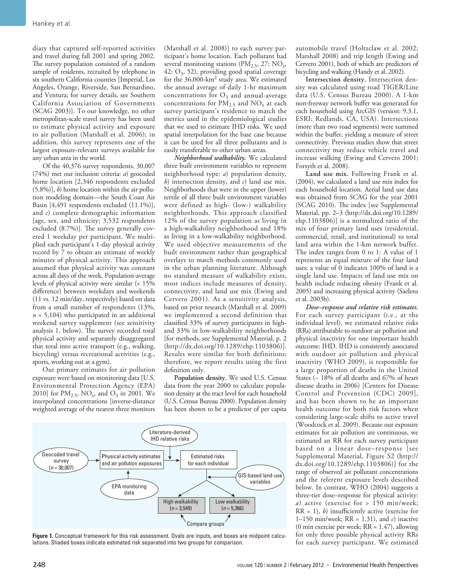diary that captured self-reported activities and travel during fall 2001 and spring 2002. The survey population consisted of a random sample of residents, recruited by telephone in six southern California counties [Imperial, Los Angeles, Orange, Riverside, San Bernardino, and Ventura; for survey details, see Southern California Association of Governments (SCAG 2003)]. To our knowledge, no other metropolitan-scale travel survey has been used to estimate physical activity and exposure to air pollution (Marshall et al. 2006); in addition, this survey represents one of the largest exposure-relevant surveys available for any urban area in the world.

Of the 40,376 survey respondents, 30,007 (74%) met our inclusion criteria: *a*) geocoded home location [2,346 respondents excluded (5.8%)], *b*) home location within the air pollution modeling domain—the South Coast Air Basin [4,491 respondents excluded (11.1%)], and *c*) complete demographic information [age, sex, and ethnicity; 3,532 respondents excluded (8.7%)]. The survey generally covered 1 weekday per participant. We multiplied each participant's 1-day physical activity record by 7 to obtain an estimate of weekly minutes of physical activity. This approach assumed that physical activity was constant across all days of the week. Population-average levels of physical activity were similar (< 15% difference) between weekdays and weekends (11 vs. 12 min/day, respectively) based on data from a small number of respondents (13%,  $n = 5,104$ ) who participated in an additional weekend survey supplement (see sensitivity analysis 1, below). The survey recorded total physical activity and separately disaggregated that total into active transport (e.g., walking, bicycling) versus recreational activities (e.g., sports, working out at a gym).

Our primary estimates for air pollution exposure were based on monitoring data [U.S. Environmental Protection Agency (EPA) 2010] for  $PM_{2.5}$ , NO<sub>x</sub>, and O<sub>3</sub> in 2001. We interpolated concentrations [inverse-distance weighted average of the nearest three monitors

(Marshall et al. 2008)] to each survey participant's home location. Each pollutant had several monitoring stations ( $PM_{2.5}$ , 27;  $NO_x$ , 42;  $O_3$ , 52), providing good spatial coverage for the 36,000-km2 study area. We estimated the annual average of daily 1-hr maximum concentrations for  $O_3$  and annual-average concentrations for  $PM_{2.5}$  and  $NO_x$  at each survey participant's residence to match the metrics used in the epidemiological studies that we used to estimate IHD risks. We used spatial interpolation for the base case because it can be used for all three pollutants and is easily transferable to other urban areas.

*Neighborhood walkability.* We calculated three built environment variables to represent neighborhood type: *a*) population density, *b*) intersection density, and *c*) land use mix. Neighborhoods that were in the upper (lower) tertile of all three built environment variables were defined as high- (low-) walkability neighborhoods. This approach classified 12% of the survey population as living in a high-walkability neighborhood and 18% as living in a low-walkability neighborhood. We used objective measurements of the built environment rather than geographical overlays to match methods commonly used in the urban planning literature. Although no standard measure of walkability exists, most indices include measures of density, connectivity, and land use mix (Ewing and Cervero 2001). As a sensitivity analysis, based on prior research (Marshall et al. 2009) we implemented a second definition that classified 33% of survey participants in highand 33% in low-walkability neighborhoods [for methods, see Supplemental Material, p. 2 (http://dx.doi.org/10.1289/ehp.1103806)]. Results were similar for both definitions; therefore, we report results using the first definition only.

**Population density.** We used U.S. Census data from the year 2000 to calculate population density at the tract level for each household (U.S. Census Bureau 2000). Population density has been shown to be a predictor of per capita



**Figure 1.** Conceptual framework for this risk assessment. Ovals are inputs, and boxes are midpoint calculations. Shaded boxes indicate estimated risk separated into two groups for comparison.

automobile travel (Holtzclaw et al. 2002; Marshall 2008) and trip length (Ewing and Cervero 2001), both of which are predictors of bicycling and walking (Handy et al. 2002).

**Intersection density.** Intersection density was calculated using road TIGER/Line data (U.S. Census Bureau 2000). A 1-km non-freeway network buffer was generated for each household using ArcGIS (version: 9.3.1, ESRI; Redlands, CA, USA). Intersections (more than two road segments) were summed within the buffer, yielding a measure of street connectivity. Previous studies show that street connectivity may reduce vehicle travel and increase walking (Ewing and Cervero 2001; Forsyth et al. 2008).

**Land use mix.** Following Frank et al. (2004), we calculated a land use mix index for each household location. Aerial land use data was obtained from SCAG for the year 2001 (SCAG 2010). The index [see Supplemental Material, pp. 2–3 (http://dx.doi.org/10.1289/ ehp.1103806)] is a normalized ratio of the mix of four primary land uses (residential, commercial, retail, and institutional) to total land area within the 1-km network buffer. The index ranges from 0 to 1: A value of 1 represents an equal mixture of the four land uses; a value of 0 indicates 100% of land is a single land use. Impacts of land use mix on health include reducing obesity (Frank et al. 2005) and increasing physical activity (Saelens et al. 2003b).

*Dose–response and relative risk estimates.*  For each survey participant (i.e., at the individual level), we estimated relative risks (RRs) attributable to outdoor air pollution and physical inactivity for one important health outcome: IHD. IHD is consistently associated with outdoor air pollution and physical inactivity (WHO 2009), is responsible for a large proportion of deaths in the United States (~ 18% of all deaths and 67% of heart disease deaths in 2006) [Centers for Disease Control and Prevention (CDC) 2009], and has been shown to be an important health outcome for both risk factors when considering large-scale shifts to active travel (Woodcock et al. 2009). Because our exposure estimates for air pollution are continuous, we estimated an RR for each survey participant based on a linear dose–response [see Supplemental Material, Figure S2 (http:// dx.doi.org/10.1289/ehp.1103806)] for the range of observed air pollutant concentrations and the referent exposure levels described below. In contrast, WHO (2004) suggests a three-tier dose–response for physical activity: *a*) active (exercise for > 150 min/week; RR = 1), *b*) insufficiently active (exercise for 1–150 min/week; RR = 1.31), and *c*) inactive (0 min exercise per week; RR = 1.47), allowing for only three possible physical activity RRs for each survey participant. We estimated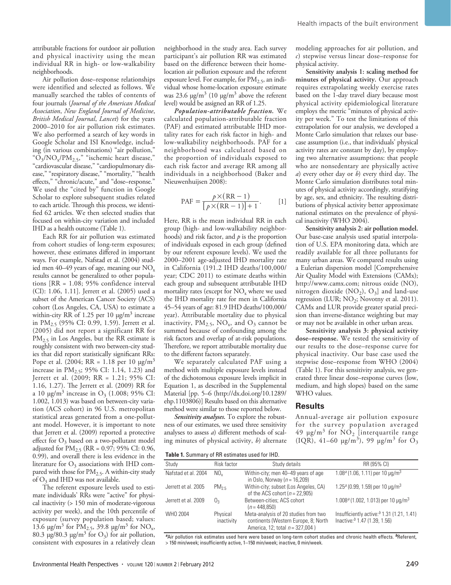attributable fractions for outdoor air pollution and physical inactivity using the mean individual RR in high- or low-walkability neighborhoods.

Air pollution dose–response relationships were identified and selected as follows. We manually searched the tables of contents of four journals (*Journal of the American Medical Association*, *New England Journal of Medicine*, *British Medical Journal*, *Lancet*) for the years 2000–2010 for air pollution risk estimates. We also performed a search of key words in Google Scholar and ISI Knowledge, including (in various combinations) "air pollution," " $O_3/NO_x/PM_{2.5}$ ," "ischemic heart disease," "cardiovascular disease," "cardiopulmonary disease," "respiratory disease," "mortality," "health effects," "chronic/acute," and "dose–response." We used the "cited by" function in Google Scholar to explore subsequent studies related to each article. Through this process, we identified 62 articles. We then selected studies that focused on within-city variation and included IHD as a health outcome (Table 1).

Each RR for air pollution was estimated from cohort studies of long-term exposures; however, these estimates differed in important ways. For example, Nafstad et al. (2004) studied men 40–49 years of age, meaning our  $NO<sub>x</sub>$ results cannot be generalized to other populations [RR = 1.08; 95% confidence interval (CI): 1.06, 1.11]. Jerrett et al. (2005) used a subset of the American Cancer Society (ACS) cohort (Los Angeles, CA, USA) to estimate a within-city RR of 1.25 per 10 μg/m<sup>3</sup> increase in PM<sub>2.5</sub> (95% CI: 0.99, 1.59). Jerrett et al. (2005) did not report a significant RR for  $PM_{2.5}$  in Los Angeles, but the RR estimate is roughly consistent with two between-city studies that did report statistically significant RRs: Pope et al. (2004; RR = 1.18 per 10  $\mu$ g/m<sup>3</sup> increase in  $PM_{2.5}$ ; 95% CI: 1.14, 1.23) and Jerrett et al. (2009; RR = 1.21; 95% CI: 1.16, 1.27). The Jerrett et al. (2009) RR for a 10  $\mu$ g/m<sup>3</sup> increase in O<sub>3</sub> (1.008; 95% CI: 1.002, 1.013) was based on between-city variation (ACS cohort) in 96 U.S. metropolitan statistical areas generated from a one-pollutant model. However, it is important to note that Jerrett et al. (2009) reported a protective effect for  $O_3$  based on a two-pollutant model adjusted for  $PM_{2.5}$  (RR = 0.97; 95% CI: 0.96, 0.99), and overall there is less evidence in the literature for  $O_3$  associations with IHD compared with those for  $PM<sub>2.5</sub>$ . A within-city study of  $O_3$  and IHD was not available.

The referent exposure levels used to estimate individuals' RRs were "active" for physical inactivity (> 150 min of moderate-vigorous activity per week), and the 10th percentile of exposure (survey population based; values: 13.6 μg/m<sup>3</sup> for PM<sub>2.5</sub>, 39.8 μg/m<sup>3</sup> for NO<sub>x</sub>, 80.3 μg/80.3 μg/m<sup>3</sup> for  $O_3$ ) for air pollution, consistent with exposures in a relatively clean

neighborhood in the study area. Each survey participant's air pollution RR was estimated based on the difference between their homelocation air pollution exposure and the referent exposure level. For example, for  $PM<sub>2.5</sub>$ , an individual whose home-location exposure estimate was 23.6  $\mu$ g/m<sup>3</sup> (10  $\mu$ g/m<sup>3</sup> above the referent level) would be assigned an RR of 1.25.

*Population-attributable fraction.* We calculated population-attributable fraction (PAF) and estimated attributable IHD mortality rates for each risk factor in high- and low-walkability neighborhoods. PAF for a neighborhood was calculated based on the proportion of individuals exposed to each risk factor and average RR among all individuals in a neighborhood (Baker and Nieuwenhuijsen 2008):

$$
PAF = \frac{p \times (RR - 1)}{[p \times (RR - 1)] + 1}.
$$
 [1]

Here, RR is the mean individual RR in each group (high- and low-walkability neighborhoods) and risk factor, and *p* is the proportion of individuals exposed in each group (defined by our referent exposure levels). We used the 2000–2001 age-adjusted IHD mortality rate in California (191.2 IHD deaths/100,000/ year; CDC 2011) to estimate deaths within each group and subsequent attributable IHD mortality rates (except for  $NO<sub>x</sub>$  where we used the IHD mortality rate for men in California 45–54 years of age: 81.9 IHD deaths/100,000/ year). Attributable mortality due to physical inactivity,  $PM_{2.5}$ ,  $NO_x$ , and  $O_3$  cannot be summed because of confounding among the risk factors and overlap of at-risk populations. Therefore, we report attributable mortality due to the different factors separately.

We separately calculated PAF using a method with multiple exposure levels instead of the dichotomous exposure levels implicit in Equation 1, as described in the Supplemental Material [pp. 5–6 (http://dx.doi.org/10.1289/ ehp.1103806)] Results based on this alternative method were similar to those reported below.

*Sensitivity analyses.* To explore the robustness of our estimates, we used three sensitivity analyses to assess *a*) different methods of scaling minutes of physical activity, *b*) alternate

modeling approaches for air pollution, and *c*) stepwise versus linear dose–response for physical activity.

**Sensitivity analysis 1: scaling method for minutes of physical activity.** Our approach requires extrapolating weekly exercise rates based on the 1-day travel diary because most physical activity epidemiological literature employs the metric "minutes of physical activity per week." To test the limitations of this extrapolation for our analysis, we developed a Monte Carlo simulation that relaxes our basecase assumption (i.e., that individuals' physical activity rates are constant by day), by employing two alternative assumptions: that people who are nonsedentary are physically active *a*) every other day or *b*) every third day. The Monte Carlo simulation distributes total minutes of physical activity accordingly, stratifying by age, sex, and ethnicity. The resulting distributions of physical activity better approximate national estimates on the prevalence of physical inactivity (WHO 2004).

**Sensitivity analysis 2: air pollution model.** Our base-case analysis used spatial interpolation of U.S. EPA monitoring data, which are readily available for all three pollutants for many urban areas. We compared results using a Eulerian dispersion model [Comprehensive Air Quality Model with Extensions (CAMx); http://www.camx.com; nitrous oxide (NO), nitrogen dioxide  $(NO<sub>2</sub>)$ ,  $O<sub>3</sub>$ ] and land-use regression (LUR; NO<sub>2</sub>; Novotny et al. 2011). CAMx and LUR provide greater spatial precision than inverse-distance weighting but may or may not be available in other urban areas.

**Sensitivity analysis 3: physical activity dose–response.** We tested the sensitivity of our results to the dose–response curve for physical inactivity. Our base case used the stepwise dose–response from WHO (2004) (Table 1). For this sensitivity analysis, we generated three linear dose–response curves (low, medium, and high slopes) based on the same WHO values.

#### **Results**

Annual-average air pollution exposure for the survey population averaged 49  $\mu$ g/m<sup>3</sup> for NO<sub>2</sub> [interquartile range (IQR), 41–60  $\mu$ g/m<sup>3</sup>), 99  $\mu$ g/m<sup>3</sup> for O<sub>3</sub>

**Table 1.** Summary of RR estimates used for IHD.

| Study               | Risk factor            | Study details                                                                                                      | RR (95% CI)                                                                              |  |  |  |
|---------------------|------------------------|--------------------------------------------------------------------------------------------------------------------|------------------------------------------------------------------------------------------|--|--|--|
| Nafstad et al. 2004 | NO.                    | Within-city; men 40-49 years of age<br>in Oslo, Norway ( $n = 16,209$ )                                            | $1.08a$ (1.06, 1.11) per 10 µg/m <sup>3</sup>                                            |  |  |  |
| Jerrett et al. 2005 | $PM_{25}$              | Within-city; subset (Los Angeles, CA)<br>of the ACS cohort ( $n = 22,905$ )                                        | $1.25a$ (0.99, 1.59) per 10 µg/m <sup>3</sup>                                            |  |  |  |
| Jerrett et al. 2009 | 0ء                     | Between-cities; ACS cohort<br>$(n = 448.850)$                                                                      | $1.008a$ (1.002, 1.013) per 10 µg/m <sup>3</sup>                                         |  |  |  |
| WHO 2004            | Physical<br>inactivity | Meta-analysis of 20 studies from two<br>continents (Western Europe, 8; North<br>America, 12; total $n = 327,004$ ) | Insufficiently active: $b$ 1.31 (1.21, 1.41)<br>Inactive: <sup>b</sup> 1.47 (1.39, 1.56) |  |  |  |

*<sup>a</sup>*Air pollution risk estimates used here were based on long-term cohort studies and chronic health effects. *<sup>b</sup>*Referent, > 150 min/week; insufficiently active, 1–150 min/week; inactive, 0 min/week.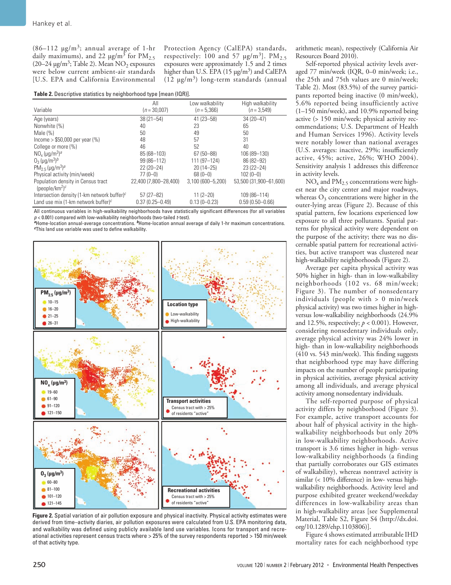(86–112  $\mu$ g/m<sup>3</sup>; annual average of 1-hr daily maximums), and 22  $\mu$ g/m<sup>3</sup> for PM<sub>2.5</sub>  $(20-24 \,\mathrm{\mu g/m^3}$ ; Table 2). Mean NO<sub>2</sub> exposures were below current ambient-air standards [U.S. EPA and California Environmental Protection Agency (CalEPA) standards, respectively: 100 and 57  $\mu$ g/m<sup>3</sup>]. PM<sub>2.5</sub> exposures were approximately 1.5 and 2 times higher than U.S. EPA  $(15 \mu g/m^3)$  and CalEPA (12  $\mu$ g/m<sup>3</sup>) long-term standards (annual

**Table 2.** Descriptive statistics by neighborhood type [mean (IQR)].

|                                                                              | All                   | Low walkability   | High walkability       |
|------------------------------------------------------------------------------|-----------------------|-------------------|------------------------|
| Variable                                                                     | $(n = 30,007)$        | $(n = 5,366)$     | $(n=3.549)$            |
| Age (years)                                                                  | $38(21 - 54)$         | $41(23 - 58)$     | 34 (20-47)             |
| Nonwhite (%)                                                                 | 40                    | 23                | 65                     |
| Male $(%)$                                                                   | 50                    | 49                | 50                     |
| $lncome > $50,000$ per year $(%)$                                            | 48                    | 57                | 31                     |
| College or more (%)                                                          | 46                    | 52                | 40                     |
| $NOx$ (µg/m <sup>3</sup> ) <sup>a</sup>                                      | 85 (68-103)           | 67 (50 - 88)      | 106 (89-130)           |
| $0_3$ (µg/m <sup>3</sup> ) <sup>b</sup>                                      | 99 (86-112)           | 111 (97-124)      | 86 (82-92)             |
| PM <sub>25</sub> ( $\mu$ g/m <sup>3</sup> ) <sup>a</sup>                     | $22(20-24)$           | $20(14 - 25)$     | $23(22 - 24)$          |
| Physical activity (min/week)                                                 | $77(0-0)$             | $68(0-0)$         | $102(0-0)$             |
| Population density in Census tract<br>(people/km <sup>2</sup> ) <sup>c</sup> | 22.400 (7.800-28.400) | 3,100 (600-5,200) | 53.500 (31.900-61.600) |
| Intersection density (1-km network buffer) $c$                               | $57(27-82)$           | $11(2 - 20)$      | 109 (86-114)           |
| Land use mix (1-km network buffer) $c$                                       | $0.37(0.25 - 0.49)$   | $0.13(0 - 0.23)$  | $0.59(0.50 - 0.66)$    |

All continuous variables in high-walkability neighborhoods have statistically significant differences (for all variables *p* < 0.001) compared with low-walkability neighborhoods (two-tailed *t*-test).

*<sup>a</sup>*Home-location annual-average concentrations. *<sup>b</sup>*Home-location annual average of daily 1-hr maximum concentrations. *<sup>c</sup>*This land use variable was used to define walkability.



**Figure 2.** Spatial variation of air pollution exposure and physical inactivity. Physical activity estimates were derived from time–activity diaries, air pollution exposures were calculated from U.S. EPA monitoring data, and walkability was defined using publicly available land use variables. Icons for transport and recreational activities represent census tracts where > 25% of the survey respondents reported > 150 min/week of that activity type.

arithmetic mean), respectively (California Air Resources Board 2010).

Self-reported physical activity levels averaged 77 min/week (IQR, 0–0 min/week; i.e., the 25th and 75th values are 0 min/week; Table 2). Most (83.5%) of the survey participants reported being inactive (0 min/week), 5.6% reported being insufficiently active (1–150 min/week), and 10.9% reported being active (> 150 min/week; physical activity recommendations; U.S. Department of Health and Human Services 1996). Activity levels were notably lower than national averages (U.S. averages: inactive, 29%; insufficiently active, 45%; active, 26%; WHO 2004). Sensitivity analysis 1 addresses this difference in activity levels.

 $NO<sub>x</sub>$  and  $PM<sub>2.5</sub>$  concentrations were highest near the city center and major roadways, whereas  $O_3$  concentrations were higher in the outer-lying areas (Figure 2). Because of this spatial pattern, few locations experienced low exposure to all three pollutants. Spatial patterns for physical activity were dependent on the purpose of the activity; there was no discernable spatial pattern for recreational activities, but active transport was clustered near high-walkability neighborhoods (Figure 2).

Average per capita physical activity was 50% higher in high- than in low-walkability neighborhoods (102 vs. 68 min/week; Figure 3). The number of nonsedentary individuals (people with > 0 min/week physical activity) was two times higher in highversus low-walkability neighborhoods (24.9% and 12.5%, respectively;  $p < 0.001$ ). However, considering nonsedentary individuals only, average physical activity was 24% lower in high- than in low-walkability neighborhoods (410 vs. 543 min/week). This finding suggests that neighborhood type may have differing impacts on the number of people participating in physical activities, average physical activity among all individuals, and average physical activity among nonsedentary individuals.

The self-reported purpose of physical activity differs by neighborhood (Figure 3). For example, active transport accounts for about half of physical activity in the highwalkability neighborhoods but only 20% in low-walkability neighborhoods. Active transport is 3.6 times higher in high- versus low-walkability neighborhoods (a finding that partially corroborates our GIS estimates of walkability), whereas nontravel activity is similar (< 10% difference) in low- versus highwalkability neighborhoods. Activity level and purpose exhibited greater weekend/weekday differences in low-walkability areas than in high-walkability areas [see Supplemental Material, Table S2, Figure S4 (http://dx.doi. org/10.1289/ehp.1103806)].

Figure 4 shows estimated attributable IHD mortality rates for each neighborhood type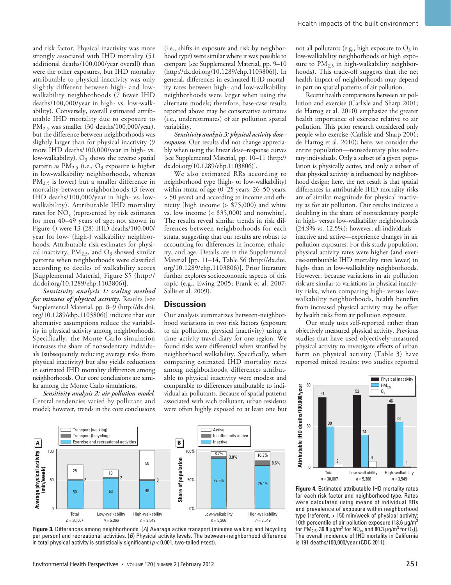and risk factor. Physical inactivity was more strongly associated with IHD mortality (51 additional deaths/100,000/year overall) than were the other exposures, but IHD mortality attributable to physical inactivity was only slightly different between high- and lowwalkability neighborhoods (7 fewer IHD deaths/100,000/year in high- vs. low-walkability). Conversely, overall estimated attributable IHD mortality due to exposure to PM2.5 was smaller (30 deaths/100,000/year), but the difference between neighborhoods was slightly larger than for physical inactivity (9 more IHD deaths/100,000/year in high- vs. low-walkability).  $O_3$  shows the reverse spatial pattern as  $PM_{2.5}$  (i.e., O<sub>3</sub> exposure is higher in low-walkability neighborhoods, whereas PM<sub>2.5</sub> is lower) but a smaller difference in mortality between neighborhoods (3 fewer IHD deaths/100,000/year in high- vs. lowwalkability). Attributable IHD mortality rates for  $NO<sub>x</sub>$  (represented by risk estimates for men 40–49 years of age; not shown in Figure 4) were 13 (28) IHD deaths/100,000/ year for low- (high-) walkability neighborhoods. Attributable risk estimates for physical inactivity,  $PM_{2.5}$ , and  $O_3$  showed similar patterns when neighborhoods were classified according to deciles of walkability scores [Supplemental Material, Figure S5 (http:// dx.doi.org/10.1289/ehp.1103806)].

*Sensitivity analysis 1: scaling method for minutes of physical activity.* Results [see Supplemental Material, pp. 8–9 (http://dx.doi. org/10.1289/ehp.1103806)] indicate that our alternative assumptions reduce the variability in physical activity among neighborhoods. Specifically, the Monte Carlo simulation increases the share of nonsedentary individuals (subsequently reducing average risks from physical inactivity) but also yields reductions in estimated IHD mortality differences among neighborhoods. Our core conclusions are similar among the Monte Carlo simulations.

*Sensitivity analysis 2: air pollution model.* Central tendencies varied by pollutant and model; however, trends in the core conclusions (i.e., shifts in exposure and risk by neighborhood type) were similar where it was possible to compare [see Supplemental Material, pp. 9–10 (http://dx.doi.org/10.1289/ehp.1103806)]. In general, differences in estimated IHD mortality rates between high- and low-walkability neighborhoods were larger when using the alternate models; therefore, base-case results reported above may be conservative estimates (i.e., underestimates) of air pollution spatial variability.

*Sensitivity analysis 3: physical activity dose– response.* Our results did not change appreciably when using the linear dose–response curves [see Supplemental Material, pp. 10–11 (http:// dx.doi.org/10.1289/ehp.1103806)].

We also estimated RRs according to neighborhood type (high- or low-walkability) within strata of age (0–25 years, 26–50 years, > 50 years) and according to income and ethnicity [high income (> \$75,000) and white vs. low income (< \$35,000) and nonwhite]. The results reveal similar trends in risk differences between neighborhoods for each strata, suggesting that our results are robust to accounting for differences in income, ethnicity, and age. Details are in the Supplemental Material [pp. 11–14, Table S6 (http://dx.doi. org/10.1289/ehp.1103806)]. Prior literature further explores socioeconomic aspects of this topic (e.g., Ewing 2005; Frank et al. 2007; Sallis et al. 2009).

### **Discussion**

Our analysis summarizes between-neighborhood variations in two risk factors (exposure to air pollution, physical inactivity) using a time–activity travel diary for one region. We found risks were differential when stratified by neighborhood walkability. Specifically, when comparing estimated IHD mortality rates among neighborhoods, differences attributable to physical inactivity were modest and comparable to differences attributable to individual air pollutants. Because of spatial patterns associated with each pollutant, urban residents were often highly exposed to at least one but

not all pollutants (e.g., high exposure to  $O_3$  in low-walkability neighborhoods or high exposure to  $PM_{2.5}$  in high-walkability neighborhoods). This trade-off suggests that the net health impact of neighborhoods may depend in part on spatial patterns of air pollution.

Recent health comparisons between air pollution and exercise (Carlisle and Sharp 2001; de Hartog et al. 2010) emphasize the greater health importance of exercise relative to air pollution. This prior research considered only people who exercise (Carlisle and Sharp 2001; de Hartog et al. 2010); here, we consider the entire population—nonsedentary plus sedentary individuals. Only a subset of a given population is physically active, and only a subset of that physical activity is influenced by neighborhood design; here, the net result is that spatial differences in attributable IHD mortality risks are of similar magnitude for physical inactivity as for air pollution. Our results indicate a doubling in the share of nonsedentary people in high- versus low-walkability neighborhoods (24.9% vs. 12.5%); however, all individuals inactive and active—experience changes in air pollution exposures. For this study population, physical activity rates were higher (and exercise-attributable IHD mortality rates lower) in high- than in low-walkability neighborhoods. However, because variations in air pollution risk are similar to variations in physical inactivity risks, when comparing high- versus lowwalkability neighborhoods, health benefits from increased physical activity may be offset by health risks from air pollution exposure.

Our study uses self-reported rather than objectively measured physical activity. Previous studies that have used objectively-measured physical activity to investigate effects of urban form on physical activity (Table 3) have reported mixed results: two studies reported



**Figure 3.** Differences among neighborhoods. (*A*) Average active transport (minutes walking and bicycling per person) and recreational activities. (*B*) Physical activity levels. The between-neighborhood difference in total physical activity is statistically significant (*p* < 0.001, two-tailed *t*-test).



**Figure 4.** Estimated attributable IHD mortality rates for each risk factor and neighborhood type. Rates were calculated using means of individual RRs and prevalence of exposure within neighborhood type [referent, > 150 min/week of physical activity; 10th percentile of air pollution exposure (13.6  $\mu$ g/m<sup>3</sup> for PM<sub>2.5</sub>, 39.8  $\mu$ g/m<sup>3</sup> for NO<sub>x</sub>, and 80.3  $\mu$ g/m<sup>3</sup> for O<sub>3</sub>)]. The overall incidence of IHD mortality in California is 191 deaths/100,000/year (CDC 2011).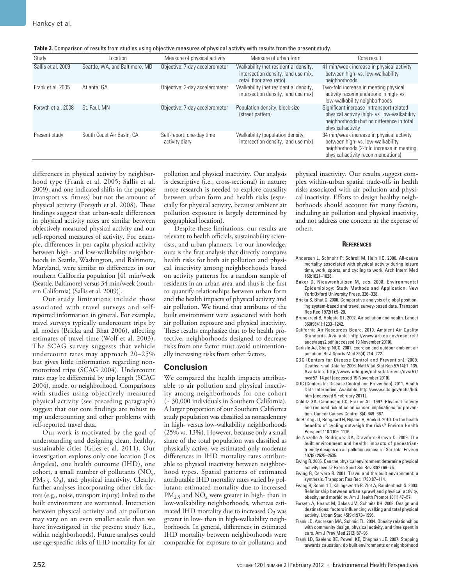| Study               | Location                       | Measure of physical activity                | Measure of urban form                                                                                    | Core result                                                                                                                                                       |
|---------------------|--------------------------------|---------------------------------------------|----------------------------------------------------------------------------------------------------------|-------------------------------------------------------------------------------------------------------------------------------------------------------------------|
| Sallis et al. 2009  | Seattle, WA, and Baltimore, MD | Objective: 7-day accelerometer              | Walkability (net residential density,<br>intersection density, land use mix,<br>retail floor area ratio) | 41 min/week increase in physical activity<br>between high- vs. low-walkability<br>neighborhoods                                                                   |
| Frank et al. 2005   | Atlanta, GA                    | Objective: 2-day accelerometer              | Walkability (net residential density,<br>intersection density, land use mix)                             | Two-fold increase in meeting physical<br>activity recommendations in high-vs.<br>low-walkability neighborhoods                                                    |
| Forsyth et al. 2008 | St. Paul, MN                   | Objective: 7-day accelerometer              | Population density, block size<br>(street pattern)                                                       | Significant increase in transport-related<br>physical activity (high-vs. low-walkability<br>neighborhoods) but no difference in total<br>physical activity        |
| Present study       | South Coast Air Basin, CA      | Self-report: one-day time<br>activity diary | Walkability (population density,<br>intersection density, land use mix)                                  | 34 min/week increase in physical activity<br>between high- vs. low-walkability<br>neighborhoods (2-fold increase in meeting<br>physical activity recommendations) |

differences in physical activity by neighborhood type (Frank et al. 2005; Sallis et al. 2009), and one indicated shifts in the purpose (transport vs. fitness) but not the amount of physical activity (Forsyth et al. 2008). These findings suggest that urban-scale differences in physical activity rates are similar between objectively measured physical activity and our self-reported measures of activity. For example, differences in per capita physical activity between high- and low-walkability neighborhoods in Seattle, Washington, and Baltimore, Maryland, were similar to differences in our southern California population [41 min/week (Seattle, Baltimore) versus 34 min/week (southern California) (Sallis et al. 2009)].

Our study limitations include those associated with travel surveys and selfreported information in general. For example, travel surveys typically undercount trips by all modes (Bricka and Bhat 2006), affecting estimates of travel time (Wolf et al. 2003). The SCAG survey suggests that vehicle undercount rates may approach 20–25% but gives little information regarding nonmotorized trips (SCAG 2004). Undercount rates may be differential by trip length (SCAG 2004), mode, or neighborhood. Comparisons with studies using objectively measured physical activity (see preceding paragraph) suggest that our core findings are robust to trip undercounting and other problems with self-reported travel data.

Our work is motivated by the goal of understanding and designing clean, healthy, sustainable cities (Giles et al. 2011). Our investigation explores only one location (Los Angeles), one health outcome (IHD), one cohort, a small number of pollutants (NO<sub>x</sub>, PM<sub>2.5</sub>, O<sub>3</sub>), and physical inactivity. Clearly, further analyses incorporating other risk factors (e.g., noise, transport injury) linked to the built environment are warranted. Interaction between physical activity and air pollution may vary on an even smaller scale than we have investigated in the present study (i.e., within neighborhoods). Future analyses could use age-specific risks of IHD mortality for air

pollution and physical inactivity. Our analysis is descriptive (i.e., cross-sectional) in nature; more research is needed to explore causality between urban form and health risks (especially for physical activity, because ambient air pollution exposure is largely determined by geographical location).

Despite these limitations, our results are relevant to health officials, sustainability scientists, and urban planners. To our knowledge, ours is the first analysis that directly compares health risks for both air pollution and physical inactivity among neighborhoods based on activity patterns for a random sample of residents in an urban area, and thus is the first to quantify relationships between urban form and the health impacts of physical activity and air pollution. We found that attributes of the built environment were associated with both air pollution exposure and physical inactivity. These results emphasize that to be health protective, neighborhoods designed to decrease risks from one factor must avoid unintentionally increasing risks from other factors.

## **Conclusion**

We compared the health impacts attributable to air pollution and physical inactivity among neighborhoods for one cohort (~ 30,000 individuals in Southern California). A larger proportion of our Southern California study population was classified as nonsedentary in high- versus low-walkability neighborhoods (25% vs. 13%). However, because only a small share of the total population was classified as physically active, we estimated only moderate differences in IHD mortality rates attributable to physical inactivity between neighborhood types. Spatial patterns of estimated attributable IHD mortality rates varied by pollutant: estimated mortality due to increased PM<sub>2.5</sub> and NO<sub>x</sub> were greater in high- than in low-walkability neighborhoods, whereas estimated IHD mortality due to increased  $O_3$  was greater in low- than in high-walkability neighborhoods. In general, differences in estimated IHD mortality between neighborhoods were comparable for exposure to air pollutants and physical inactivity. Our results suggest complex within-urban spatial trade-offs in health risks associated with air pollution and physical inactivity. Efforts to design healthy neighborhoods should account for many factors, including air pollution and physical inactivity, and not address one concern at the expense of others.

#### **References**

- Andersen L, Schnohr P, Schroll M, Hein HO. 2000. All-cause mortality associated with physical activity during leisure time, work, sports, and cycling to work. Arch Intern Med 160:1621–1628.
- Baker D, Nieuwenhuijsen M, eds. 2008. Environmental Epidemiology: Study Methods and Application. New York:Oxford University Press, 326–328.
- Bricka S, Bhat C. 2006. Comparative analysis of global positioning system-based and travel survey-based data. Transport Res Rec 1972(1):9–20.
- Brunekreef B, Holgate ST. 2002. Air pollution and health. Lancet 360(9341):1233–1242.
- California Air Resources Board. 2010. Ambient Air Quality Standards. Available: http://www.arb.ca.gov/research/ aaqs/aaqs2.pdf [accessed 19 November 2010].
- Carlisle AJ, Sharp NCC. 2001. Exercise and outdoor ambient air pollution. Br J Sports Med 35(4):214–222.
- CDC (Centers for Disease Control and Prevention). 2009. Deaths: Final Data for 2006. Natl Vital Stat Rep 57(14):1–135. Available: http://www.cdc.gov/nchs/data/nvsr/nvsr57/ nvsr57\_14.pdf [accessed 19 November 2010].
- CDC (Centers for Disease Control and Prevention). 2011. Health Data Interactive. Available: http://www.cdc.gov/nchs/hdi. htm [accessed 9 February 2011].
- Colditz GA, Cannuscio CC, Frazier AL. 1997. Physical activity and reduced risk of colon cancer: implications for prevention. Cancer Causes Control 8(4):649–667.
- de Hartog JJ, Boogaard H, Nijland H, Hoek G. 2010. Do the health benefits of cycling outweigh the risks? Environ Health Perspect 118:1109–1116.
- de Nazelle A, Rodriguez DA, Crawford-Brown D. 2009. The built environment and health: impacts of pedestrianfriendly designs on air pollution exposure. Sci Total Environ 407(8):2525–2535.
- Ewing R. 2005. Can the physical environment determine physical activity levels? Exerc Sport Sci Rev 33(2):69–75.
- Ewing R, Cervero R. 2001. Travel and the built environment: a synthesis. Transport Res Rec 1780:87–114.
- Ewing R, Schmid T, Killingsworth R, Zlot A, Raudenbush S. 2003. Relationship between urban sprawl and physical activity, obesity, and morbidity. Am J Health Promot 18(1):47–57.
- Forsyth A, Hearst M, Oakes JM, Schmitz KH. 2008. Design and destinations: factors influencing walking and total physical activity. Urban Stud 45(9):1973–1996.
- Frank LD, Andresen MA, Schmid TL. 2004. Obesity relationships with community design, physical activity, and time spent in cars. Am J Prev Med 27(2):87–96.
- Frank LD, Saelens BE, Powell KE, Chapman JE. 2007. Stepping towards causation: do built environments or neighborhood